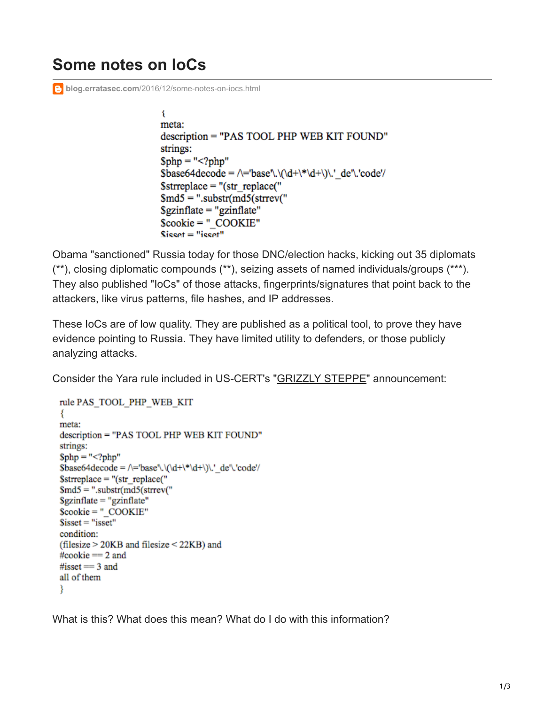## **Some notes on IoCs**

**blog.erratasec.com[/2016/12/some-notes-on-iocs.html](https://blog.erratasec.com/2016/12/some-notes-on-iocs.html)** 

ί meta: description = "PAS TOOL PHP WEB KIT FOUND" strings:  $\text{Sphp} = \text{``php''}</math$  $\text{Base64decode} = \text{base}\.\(\text{det} * \text{det})\$ .' de'\.'code'/  $\text{Sstrreplace} = "(\text{str}\ \text{replace}("$  $\text{Smd5} =$  ".substr(md5(strrev("  $Sgzin$ flate = "gzinflate"  $Scookie = "COOKIE"$  $Sisset="isset"$ 

Obama "sanctioned" Russia today for those DNC/election hacks, kicking out 35 diplomats (\*\*), closing diplomatic compounds (\*\*), seizing assets of named individuals/groups (\*\*\*). They also published "IoCs" of those attacks, fingerprints/signatures that point back to the attackers, like virus patterns, file hashes, and IP addresses.

These IoCs are of low quality. They are published as a political tool, to prove they have evidence pointing to Russia. They have limited utility to defenders, or those publicly analyzing attacks.

Consider the Yara rule included in US-CERT's ["GRIZZLY STEPPE"](https://www.us-cert.gov/sites/default/files/publications/JAR_16-20296.pdf) announcement:

```
rule PAS TOOL PHP WEB KIT
₹
meta:
description = "PAS TOOL PHP WEB KIT FOUND"
strings:
\rho = "<?php"\$base64decode = \left(\frac{\ddot{d} + \ddot{d} + \ddot{d}}{\ddot{d} + \ddot{d}}\right).' de'\.'code'/
\text{Sstrreplace} = "(\text{str replace}"
\text{Smd5} = ".substr(md5(strrev("
Sgzinflate = "gzinflate"
Scookie = "COOKIE"S<sub>isset</sub> = "isset"condition:
(filesize > 20KB and filesize < 22KB) and
\# \text{cookie} == 2 and
#isset = 3 and
all of them
ł
```
What is this? What does this mean? What do I do with this information?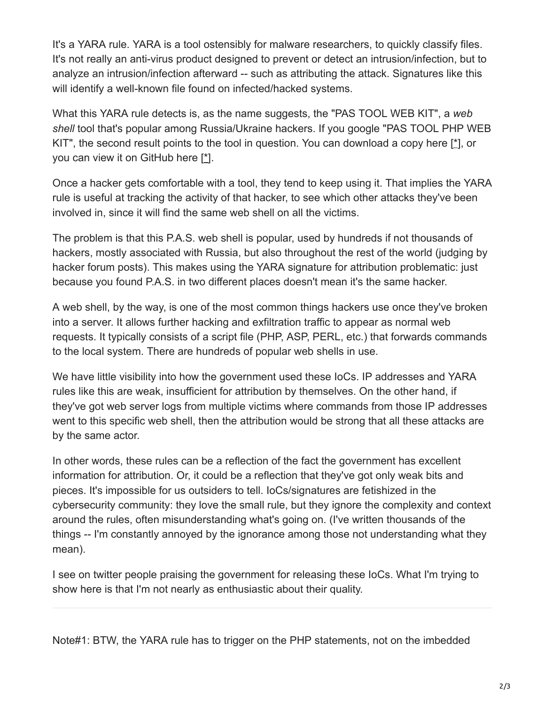It's a YARA rule. YARA is a tool ostensibly for malware researchers, to quickly classify files. It's not really an anti-virus product designed to prevent or detect an intrusion/infection, but to analyze an intrusion/infection afterward -- such as attributing the attack. Signatures like this will identify a well-known file found on infected/hacked systems.

What this YARA rule detects is, as the name suggests, the "PAS TOOL WEB KIT", a *web shell* tool that's popular among Russia/Ukraine hackers. If you google "PAS TOOL PHP WEB KIT", the second result points to the tool in question. You can download a copy here [[\\*](http://profexer.name/pas/download.php)], or you can view it on GitHub here [[\\*\]](https://github.com/robertdavidgraham/webshell/blob/master/php/pas/pas.php).

Once a hacker gets comfortable with a tool, they tend to keep using it. That implies the YARA rule is useful at tracking the activity of that hacker, to see which other attacks they've been involved in, since it will find the same web shell on all the victims.

The problem is that this P.A.S. web shell is popular, used by hundreds if not thousands of hackers, mostly associated with Russia, but also throughout the rest of the world (judging by hacker forum posts). This makes using the YARA signature for attribution problematic: just because you found P.A.S. in two different places doesn't mean it's the same hacker.

A web shell, by the way, is one of the most common things hackers use once they've broken into a server. It allows further hacking and exfiltration traffic to appear as normal web requests. It typically consists of a script file (PHP, ASP, PERL, etc.) that forwards commands to the local system. There are hundreds of popular web shells in use.

We have little visibility into how the government used these IoCs. IP addresses and YARA rules like this are weak, insufficient for attribution by themselves. On the other hand, if they've got web server logs from multiple victims where commands from those IP addresses went to this specific web shell, then the attribution would be strong that all these attacks are by the same actor.

In other words, these rules can be a reflection of the fact the government has excellent information for attribution. Or, it could be a reflection that they've got only weak bits and pieces. It's impossible for us outsiders to tell. IoCs/signatures are fetishized in the cybersecurity community: they love the small rule, but they ignore the complexity and context around the rules, often misunderstanding what's going on. (I've written thousands of the things -- I'm constantly annoyed by the ignorance among those not understanding what they mean).

I see on twitter people praising the government for releasing these IoCs. What I'm trying to show here is that I'm not nearly as enthusiastic about their quality.

Note#1: BTW, the YARA rule has to trigger on the PHP statements, not on the imbedded